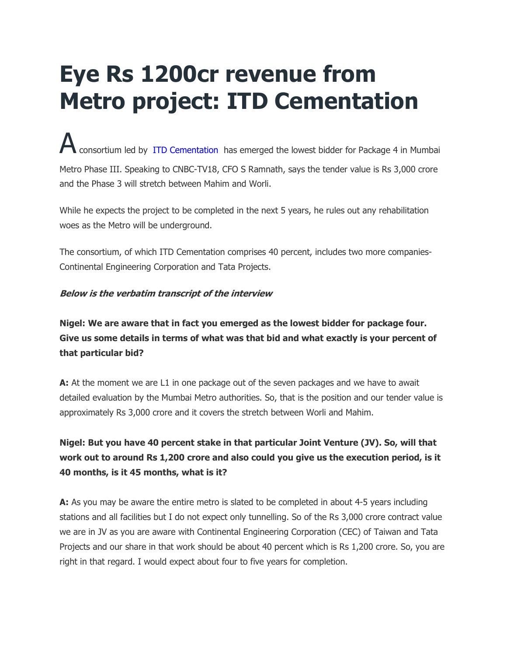# **Eye Rs 1200cr revenue from Metro project: ITD Cementation**

consortium led by ITD Cementation has emerged the lowest bidder for Package 4 in Mumbai Metro Phase III. Speaking to CNBC-TV18, CFO S Ramnath, says the tender value is Rs 3,000 crore and the Phase 3 will stretch between Mahim and Worli.

While he expects the project to be completed in the next 5 years, he rules out any rehabilitation woes as the Metro will be underground.

The consortium, of which ITD Cementation comprises 40 percent, includes two more companies-Continental Engineering Corporation and Tata Projects.

### **Below is the verbatim transcript of the interview**

**Nigel: We are aware that in fact you emerged as the lowest bidder for package four. Give us some details in terms of what was that bid and what exactly is your percent of that particular bid?**

**A:** At the moment we are L1 in one package out of the seven packages and we have to await detailed evaluation by the Mumbai Metro authorities. So, that is the position and our tender value is approximately Rs 3,000 crore and it covers the stretch between Worli and Mahim.

# **Nigel: But you have 40 percent stake in that particular Joint Venture (JV). So, will that work out to around Rs 1,200 crore and also could you give us the execution period, is it 40 months, is it 45 months, what is it?**

**A:** As you may be aware the entire metro is slated to be completed in about 4-5 years including stations and all facilities but I do not expect only tunnelling. So of the Rs 3,000 crore contract value we are in JV as you are aware with Continental Engineering Corporation (CEC) of Taiwan and Tata Projects and our share in that work should be about 40 percent which is Rs 1,200 crore. So, you are right in that regard. I would expect about four to five years for completion.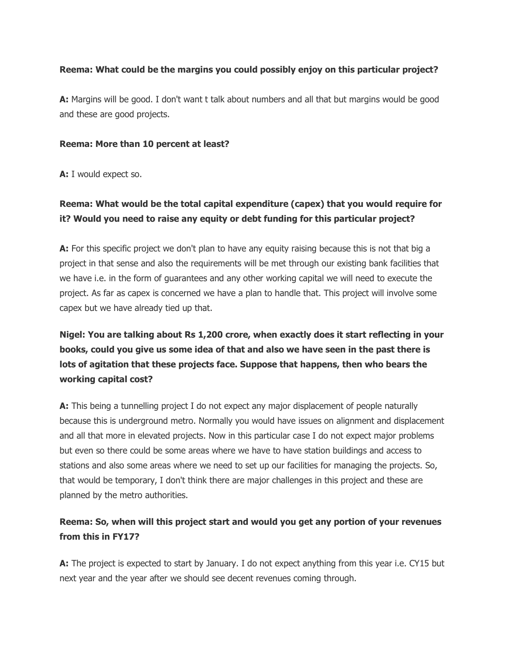### **Reema: What could be the margins you could possibly enjoy on this particular project?**

**A:** Margins will be good. I don't want t talk about numbers and all that but margins would be good and these are good projects.

#### **Reema: More than 10 percent at least?**

**A:** I would expect so.

## **Reema: What would be the total capital expenditure (capex) that you would require for it? Would you need to raise any equity or debt funding for this particular project?**

**A:** For this specific project we don't plan to have any equity raising because this is not that big a project in that sense and also the requirements will be met through our existing bank facilities that we have i.e. in the form of guarantees and any other working capital we will need to execute the project. As far as capex is concerned we have a plan to handle that. This project will involve some capex but we have already tied up that.

# **Nigel: You are talking about Rs 1,200 crore, when exactly does it start reflecting in your books, could you give us some idea of that and also we have seen in the past there is lots of agitation that these projects face. Suppose that happens, then who bears the working capital cost?**

**A:** This being a tunnelling project I do not expect any major displacement of people naturally because this is underground metro. Normally you would have issues on alignment and displacement and all that more in elevated projects. Now in this particular case I do not expect major problems but even so there could be some areas where we have to have station buildings and access to stations and also some areas where we need to set up our facilities for managing the projects. So, that would be temporary, I don't think there are major challenges in this project and these are planned by the metro authorities.

## **Reema: So, when will this project start and would you get any portion of your revenues from this in FY17?**

**A:** The project is expected to start by January. I do not expect anything from this year i.e. CY15 but next year and the year after we should see decent revenues coming through.